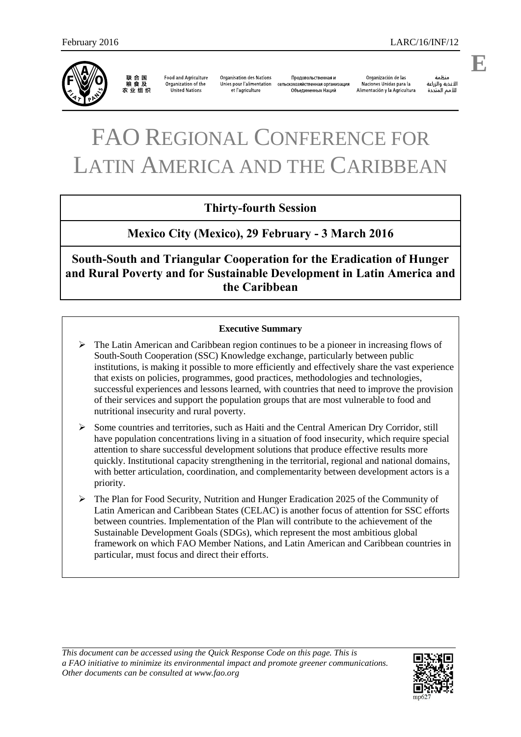

联合国<br>粮食及 农业组织

**Food and Agriculture** Organization of the United Nations

**Organisation des Nations** Unies pour l'alimentation et l'agriculture

Продовольственная и сельскохозяйственная организация Объединенных Наций

Organización de las Naciones Unidas para la Alimentación y la Agricultura

änhin الأغذية والزراعة للأمم المتحدة

**E**

# FAO REGIONAL CONFERENCE FOR LATIN AMERICA AND THE CARIBBEAN

## **Thirty-fourth Session**

**Mexico City (Mexico), 29 February - 3 March 2016** 

**South-South and Triangular Cooperation for the Eradication of Hunger and Rural Poverty and for Sustainable Development in Latin America and the Caribbean** 

#### **Executive Summary**

- $\triangleright$  The Latin American and Caribbean region continues to be a pioneer in increasing flows of South-South Cooperation (SSC) Knowledge exchange, particularly between public institutions, is making it possible to more efficiently and effectively share the vast experience that exists on policies, programmes, good practices, methodologies and technologies, successful experiences and lessons learned, with countries that need to improve the provision of their services and support the population groups that are most vulnerable to food and nutritional insecurity and rural poverty.
- $\triangleright$  Some countries and territories, such as Haiti and the Central American Dry Corridor, still have population concentrations living in a situation of food insecurity, which require special attention to share successful development solutions that produce effective results more quickly. Institutional capacity strengthening in the territorial, regional and national domains, with better articulation, coordination, and complementarity between development actors is a priority.
- The Plan for Food Security, Nutrition and Hunger Eradication 2025 of the Community of Latin American and Caribbean States (CELAC) is another focus of attention for SSC efforts between countries. Implementation of the Plan will contribute to the achievement of the Sustainable Development Goals (SDGs), which represent the most ambitious global framework on which FAO Member Nations, and Latin American and Caribbean countries in particular, must focus and direct their efforts.

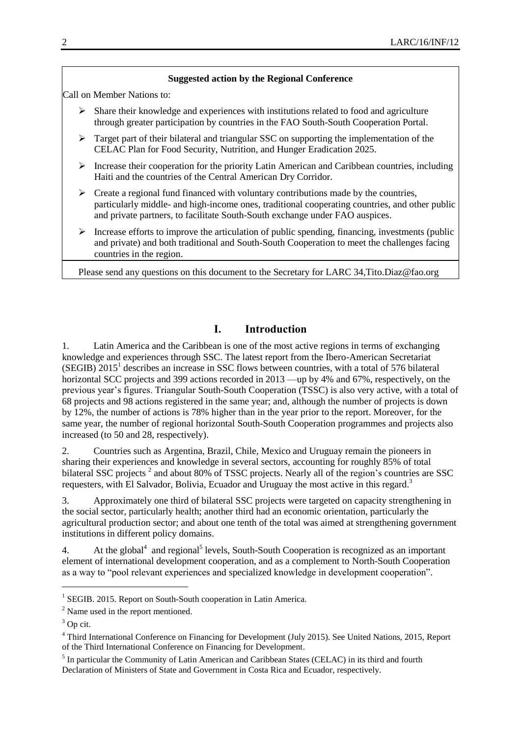#### **Suggested action by the Regional Conference**

Call on Member Nations to:

- $\triangleright$  Share their knowledge and experiences with institutions related to food and agriculture through greater participation by countries in the FAO South-South Cooperation Portal.
- $\triangleright$  Target part of their bilateral and triangular SSC on supporting the implementation of the CELAC Plan for Food Security, Nutrition, and Hunger Eradication 2025.
- $\triangleright$  Increase their cooperation for the priority Latin American and Caribbean countries, including Haiti and the countries of the Central American Dry Corridor.
- $\triangleright$  Create a regional fund financed with voluntary contributions made by the countries, particularly middle- and high-income ones, traditional cooperating countries, and other public and private partners, to facilitate South-South exchange under FAO auspices.
- $\triangleright$  Increase efforts to improve the articulation of public spending, financing, investments (public and private) and both traditional and South-South Cooperation to meet the challenges facing countries in the region.

Please send any questions on this document to the Secretary for LARC 34[,Tito.Diaz@fao.org](mailto:Tito.Diaz@fao.org)

## **I. Introduction**

1. Latin America and the Caribbean is one of the most active regions in terms of exchanging knowledge and experiences through SSC. The latest report from the Ibero-American Secretariat  $(SEGIB)$  2015<sup>1</sup> describes an increase in SSC flows between countries, with a total of 576 bilateral horizontal SCC projects and 399 actions recorded in 2013 —up by 4% and 67%, respectively, on the previous year's figures. Triangular South-South Cooperation (TSSC) is also very active, with a total of 68 projects and 98 actions registered in the same year; and, although the number of projects is down by 12%, the number of actions is 78% higher than in the year prior to the report. Moreover, for the same year, the number of regional horizontal South-South Cooperation programmes and projects also increased (to 50 and 28, respectively).

2. Countries such as Argentina, Brazil, Chile, Mexico and Uruguay remain the pioneers in sharing their experiences and knowledge in several sectors, accounting for roughly 85% of total bilateral SSC projects<sup>2</sup> and about 80% of TSSC projects. Nearly all of the region's countries are SSC requesters, with El Salvador, Bolivia, Ecuador and Uruguay the most active in this regard.<sup>3</sup>

3. Approximately one third of bilateral SSC projects were targeted on capacity strengthening in the social sector, particularly health; another third had an economic orientation, particularly the agricultural production sector; and about one tenth of the total was aimed at strengthening government institutions in different policy domains.

4. At the global<sup>4</sup> and regional<sup>5</sup> levels, South-South Cooperation is recognized as an important element of international development cooperation, and as a complement to North-South Cooperation as a way to "pool relevant experiences and specialized knowledge in development cooperation".

 $\overline{a}$ 

<sup>&</sup>lt;sup>1</sup> SEGIB. 2015. Report on South-South cooperation in Latin America.

<sup>2</sup> Name used in the report mentioned.

 $3$  Op cit.

<sup>&</sup>lt;sup>4</sup> Third International Conference on Financing for Development (July 2015). See United Nations, 2015, Report of the Third International Conference on Financing for Development.

<sup>&</sup>lt;sup>5</sup> In particular the Community of Latin American and Caribbean States (CELAC) in its third and fourth Declaration of Ministers of State and Government in Costa Rica and Ecuador, respectively.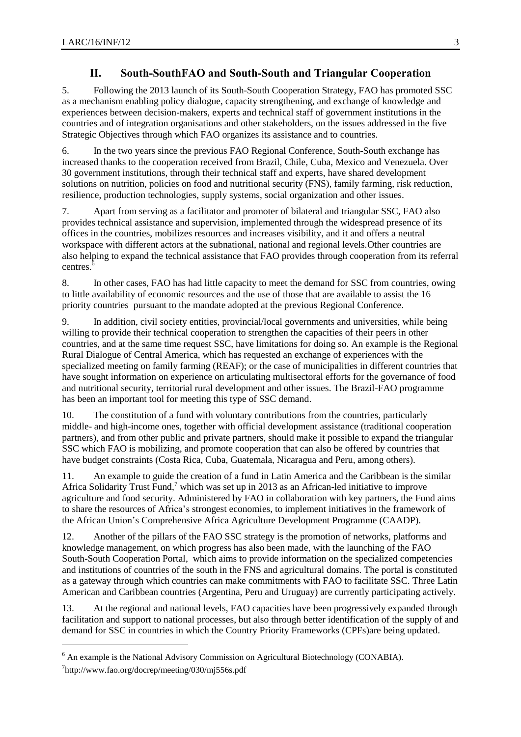## **II. South-SouthFAO and South-South and Triangular Cooperation**

5. Following the 2013 launch of its South-South Cooperation Strategy, FAO has promoted SSC as a mechanism enabling policy dialogue, capacity strengthening, and exchange of knowledge and experiences between decision-makers, experts and technical staff of government institutions in the countries and of integration organisations and other stakeholders, on the issues addressed in the five Strategic Objectives through which FAO organizes its assistance and to countries.

6. In the two years since the previous FAO Regional Conference, South-South exchange has increased thanks to the cooperation received from Brazil, Chile, Cuba, Mexico and Venezuela. Over 30 government institutions, through their technical staff and experts, have shared development solutions on nutrition, policies on food and nutritional security (FNS), family farming, risk reduction, resilience, production technologies, supply systems, social organization and other issues.

7. Apart from serving as a facilitator and promoter of bilateral and triangular SSC, FAO also provides technical assistance and supervision, implemented through the widespread presence of its offices in the countries, mobilizes resources and increases visibility, and it and offers a neutral workspace with different actors at the subnational, national and regional levels.Other countries are also helping to expand the technical assistance that FAO provides through cooperation from its referral centres.<sup>6</sup>

8. In other cases, FAO has had little capacity to meet the demand for SSC from countries, owing to little availability of economic resources and the use of those that are available to assist the 16 priority countries pursuant to the mandate adopted at the previous Regional Conference.

9. In addition, civil society entities, provincial/local governments and universities, while being willing to provide their technical cooperation to strengthen the capacities of their peers in other countries, and at the same time request SSC, have limitations for doing so. An example is the Regional Rural Dialogue of Central America, which has requested an exchange of experiences with the specialized meeting on family farming (REAF); or the case of municipalities in different countries that have sought information on experience on articulating multisectoral efforts for the governance of food and nutritional security, territorial rural development and other issues. The Brazil-FAO programme has been an important tool for meeting this type of SSC demand.

10. The constitution of a fund with voluntary contributions from the countries, particularly middle- and high-income ones, together with official development assistance (traditional cooperation partners), and from other public and private partners, should make it possible to expand the triangular SSC which FAO is mobilizing, and promote cooperation that can also be offered by countries that have budget constraints (Costa Rica, Cuba, Guatemala, Nicaragua and Peru, among others).

11. An example to guide the creation of a fund in Latin America and the Caribbean is the similar Africa Solidarity Trust Fund,<sup>7</sup> which was set up in 2013 as an African-led initiative to improve agriculture and food security. Administered by FAO in collaboration with key partners, the Fund aims to share the resources of Africa's strongest economies, to implement initiatives in the framework of the African Union's Comprehensive Africa Agriculture Development Programme (CAADP).

12. Another of the pillars of the FAO SSC strategy is the promotion of networks, platforms and knowledge management, on which progress has also been made, with the launching of the FAO South-South Cooperation Portal, which aims to provide information on the specialized competencies and institutions of countries of the south in the FNS and agricultural domains. The portal is constituted as a gateway through which countries can make commitments with FAO to facilitate SSC. Three Latin American and Caribbean countries (Argentina, Peru and Uruguay) are currently participating actively.

13. At the regional and national levels, FAO capacities have been progressively expanded through facilitation and support to national processes, but also through better identification of the supply of and demand for SSC in countries in which the Country Priority Frameworks (CPFs)are being updated.

l

<sup>&</sup>lt;sup>6</sup> An example is the National Advisory Commission on Agricultural Biotechnology (CONABIA).

<sup>&</sup>lt;sup>7</sup>http://www.fao.org/docrep/meeting/030/mj556s.pdf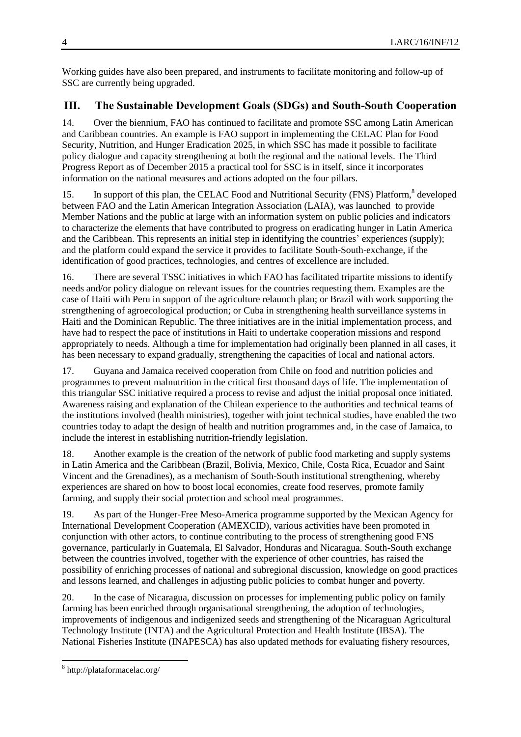Working guides have also been prepared, and instruments to facilitate monitoring and follow-up of SSC are currently being upgraded.

## **III. The Sustainable Development Goals (SDGs) and South-South Cooperation**

14. Over the biennium, FAO has continued to facilitate and promote SSC among Latin American and Caribbean countries. An example is FAO support in implementing the CELAC Plan for Food Security, Nutrition, and Hunger Eradication 2025, in which SSC has made it possible to facilitate policy dialogue and capacity strengthening at both the regional and the national levels. The Third Progress Report as of December 2015 a practical tool for SSC is in itself, since it incorporates information on the national measures and actions adopted on the four pillars.

15. In support of this plan, the CELAC Food and Nutritional Security (FNS) Platform,<sup>8</sup> developed between FAO and the Latin American Integration Association (LAIA), was launched to provide Member Nations and the public at large with an information system on public policies and indicators to characterize the elements that have contributed to progress on eradicating hunger in Latin America and the Caribbean. This represents an initial step in identifying the countries' experiences (supply); and the platform could expand the service it provides to facilitate South-South-exchange, if the identification of good practices, technologies, and centres of excellence are included.

16. There are several TSSC initiatives in which FAO has facilitated tripartite missions to identify needs and/or policy dialogue on relevant issues for the countries requesting them. Examples are the case of Haiti with Peru in support of the agriculture relaunch plan; or Brazil with work supporting the strengthening of agroecological production; or Cuba in strengthening health surveillance systems in Haiti and the Dominican Republic. The three initiatives are in the initial implementation process, and have had to respect the pace of institutions in Haiti to undertake cooperation missions and respond appropriately to needs. Although a time for implementation had originally been planned in all cases, it has been necessary to expand gradually, strengthening the capacities of local and national actors.

17. Guyana and Jamaica received cooperation from Chile on food and nutrition policies and programmes to prevent malnutrition in the critical first thousand days of life. The implementation of this triangular SSC initiative required a process to revise and adjust the initial proposal once initiated. Awareness raising and explanation of the Chilean experience to the authorities and technical teams of the institutions involved (health ministries), together with joint technical studies, have enabled the two countries today to adapt the design of health and nutrition programmes and, in the case of Jamaica, to include the interest in establishing nutrition-friendly legislation.

18. Another example is the creation of the network of public food marketing and supply systems in Latin America and the Caribbean (Brazil, Bolivia, Mexico, Chile, Costa Rica, Ecuador and Saint Vincent and the Grenadines), as a mechanism of South-South institutional strengthening, whereby experiences are shared on how to boost local economies, create food reserves, promote family farming, and supply their social protection and school meal programmes.

19. As part of the Hunger-Free Meso-America programme supported by the Mexican Agency for International Development Cooperation (AMEXCID), various activities have been promoted in conjunction with other actors, to continue contributing to the process of strengthening good FNS governance, particularly in Guatemala, El Salvador, Honduras and Nicaragua. South-South exchange between the countries involved, together with the experience of other countries, has raised the possibility of enriching processes of national and subregional discussion, knowledge on good practices and lessons learned, and challenges in adjusting public policies to combat hunger and poverty.

20. In the case of Nicaragua, discussion on processes for implementing public policy on family farming has been enriched through organisational strengthening, the adoption of technologies, improvements of indigenous and indigenized seeds and strengthening of the Nicaraguan Agricultural Technology Institute (INTA) and the Agricultural Protection and Health Institute (IBSA). The National Fisheries Institute (INAPESCA) has also updated methods for evaluating fishery resources,

 8 http://plataformacelac.org/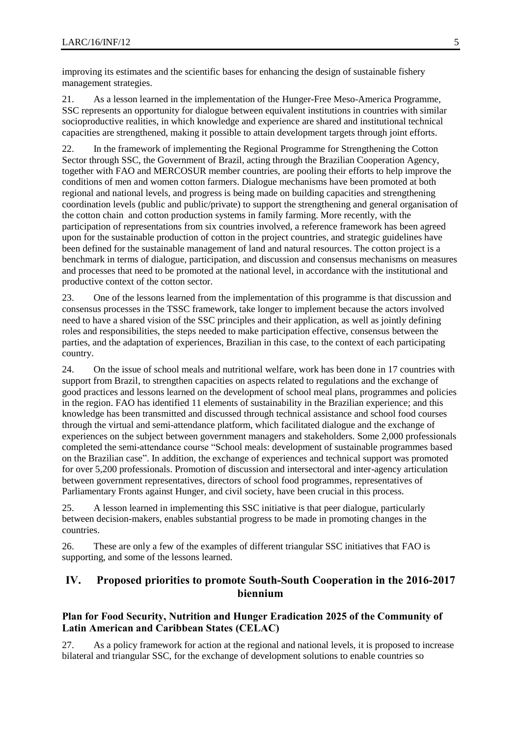improving its estimates and the scientific bases for enhancing the design of sustainable fishery management strategies.

21. As a lesson learned in the implementation of the Hunger-Free Meso-America Programme, SSC represents an opportunity for dialogue between equivalent institutions in countries with similar socioproductive realities, in which knowledge and experience are shared and institutional technical capacities are strengthened, making it possible to attain development targets through joint efforts.

22. In the framework of implementing the Regional Programme for Strengthening the Cotton Sector through SSC, the Government of Brazil, acting through the Brazilian Cooperation Agency, together with FAO and MERCOSUR member countries, are pooling their efforts to help improve the conditions of men and women cotton farmers. Dialogue mechanisms have been promoted at both regional and national levels, and progress is being made on building capacities and strengthening coordination levels (public and public/private) to support the strengthening and general organisation of the cotton chain and cotton production systems in family farming. More recently, with the participation of representations from six countries involved, a reference framework has been agreed upon for the sustainable production of cotton in the project countries, and strategic guidelines have been defined for the sustainable management of land and natural resources. The cotton project is a benchmark in terms of dialogue, participation, and discussion and consensus mechanisms on measures and processes that need to be promoted at the national level, in accordance with the institutional and productive context of the cotton sector.

23. One of the lessons learned from the implementation of this programme is that discussion and consensus processes in the TSSC framework, take longer to implement because the actors involved need to have a shared vision of the SSC principles and their application, as well as jointly defining roles and responsibilities, the steps needed to make participation effective, consensus between the parties, and the adaptation of experiences, Brazilian in this case, to the context of each participating country.

24. On the issue of school meals and nutritional welfare, work has been done in 17 countries with support from Brazil, to strengthen capacities on aspects related to regulations and the exchange of good practices and lessons learned on the development of school meal plans, programmes and policies in the region. FAO has identified 11 elements of sustainability in the Brazilian experience; and this knowledge has been transmitted and discussed through technical assistance and school food courses through the virtual and semi-attendance platform, which facilitated dialogue and the exchange of experiences on the subject between government managers and stakeholders. Some 2,000 professionals completed the semi-attendance course "School meals: development of sustainable programmes based on the Brazilian case". In addition, the exchange of experiences and technical support was promoted for over 5,200 professionals. Promotion of discussion and intersectoral and inter-agency articulation between government representatives, directors of school food programmes, representatives of Parliamentary Fronts against Hunger, and civil society, have been crucial in this process.

25. A lesson learned in implementing this SSC initiative is that peer dialogue, particularly between decision-makers, enables substantial progress to be made in promoting changes in the countries.

26. These are only a few of the examples of different triangular SSC initiatives that FAO is supporting, and some of the lessons learned.

## **IV. Proposed priorities to promote South-South Cooperation in the 2016-2017 biennium**

## **Plan for Food Security, Nutrition and Hunger Eradication 2025 of the Community of Latin American and Caribbean States (CELAC)**

27. As a policy framework for action at the regional and national levels, it is proposed to increase bilateral and triangular SSC, for the exchange of development solutions to enable countries so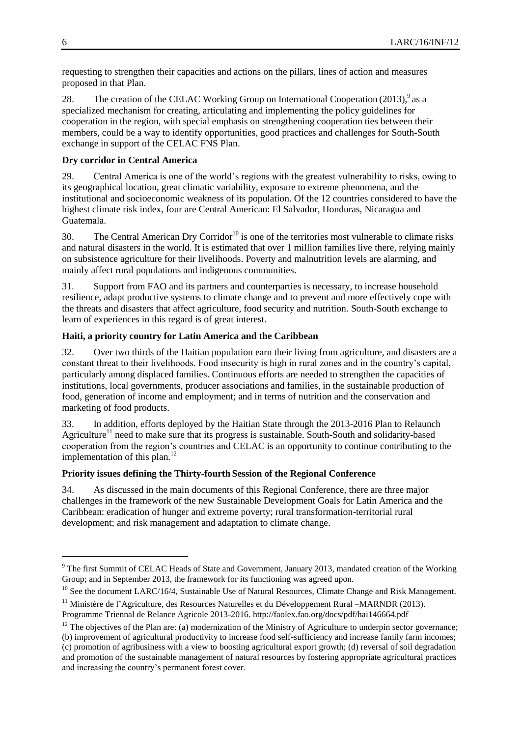requesting to strengthen their capacities and actions on the pillars, lines of action and measures proposed in that Plan.

28. The creation of the CELAC Working Group on International Cooperation  $(2013)$ , as a specialized mechanism for creating, articulating and implementing the policy guidelines for cooperation in the region, with special emphasis on strengthening cooperation ties between their members, could be a way to identify opportunities, good practices and challenges for South-South exchange in support of the CELAC FNS Plan.

## **Dry corridor in Central America**

29. Central America is one of the world's regions with the greatest vulnerability to risks, owing to its geographical location, great climatic variability, exposure to extreme phenomena, and the institutional and socioeconomic weakness of its population. Of the 12 countries considered to have the highest climate risk index, four are Central American: El Salvador, Honduras, Nicaragua and Guatemala.

30. The Central American Dry Corridor<sup>10</sup> is one of the territories most vulnerable to climate risks and natural disasters in the world. It is estimated that over 1 million families live there, relying mainly on subsistence agriculture for their livelihoods. Poverty and malnutrition levels are alarming, and mainly affect rural populations and indigenous communities.

31. Support from FAO and its partners and counterparties is necessary, to increase household resilience, adapt productive systems to climate change and to prevent and more effectively cope with the threats and disasters that affect agriculture, food security and nutrition. South-South exchange to learn of experiences in this regard is of great interest.

## **Haiti, a priority country for Latin America and the Caribbean**

32. Over two thirds of the Haitian population earn their living from agriculture, and disasters are a constant threat to their livelihoods. Food insecurity is high in rural zones and in the country's capital, particularly among displaced families. Continuous efforts are needed to strengthen the capacities of institutions, local governments, producer associations and families, in the sustainable production of food, generation of income and employment; and in terms of nutrition and the conservation and marketing of food products.

33. In addition, efforts deployed by the Haitian State through the 2013-2016 Plan to Relaunch Agriculture<sup>11</sup> need to make sure that its progress is sustainable. South-South and solidarity-based cooperation from the region's countries and CELAC is an opportunity to continue contributing to the implementation of this plan.<sup>12</sup>

## **Priority issues defining the Thirty-fourth Session of the Regional Conference**

34. As discussed in the main documents of this Regional Conference, there are three major challenges in the framework of the new Sustainable Development Goals for Latin America and the Caribbean: eradication of hunger and extreme poverty; rural transformation-territorial rural development; and risk management and adaptation to climate change.

 $\overline{a}$ 

<sup>&</sup>lt;sup>9</sup> The first Summit of CELAC Heads of State and Government, January 2013, mandated creation of the Working Group; and in September 2013, the framework for its functioning was agreed upon.

 $10$  See the document LARC/16/4, Sustainable Use of Natural Resources, Climate Change and Risk Management.

 $11$  Ministère de l'Agriculture, des Resources Naturelles et du Développement Rural –MARNDR (2013).

Programme Triennal de Relance Agricole 2013-2016. <http://faolex.fao.org/docs/pdf/hai146664.pdf>

 $12$  The objectives of the Plan are: (a) modernization of the Ministry of Agriculture to underpin sector governance;

<sup>(</sup>b) improvement of agricultural productivity to increase food self-sufficiency and increase family farm incomes; (c) promotion of agribusiness with a view to boosting agricultural export growth; (d) reversal of soil degradation and promotion of the sustainable management of natural resources by fostering appropriate agricultural practices and increasing the country's permanent forest cover.